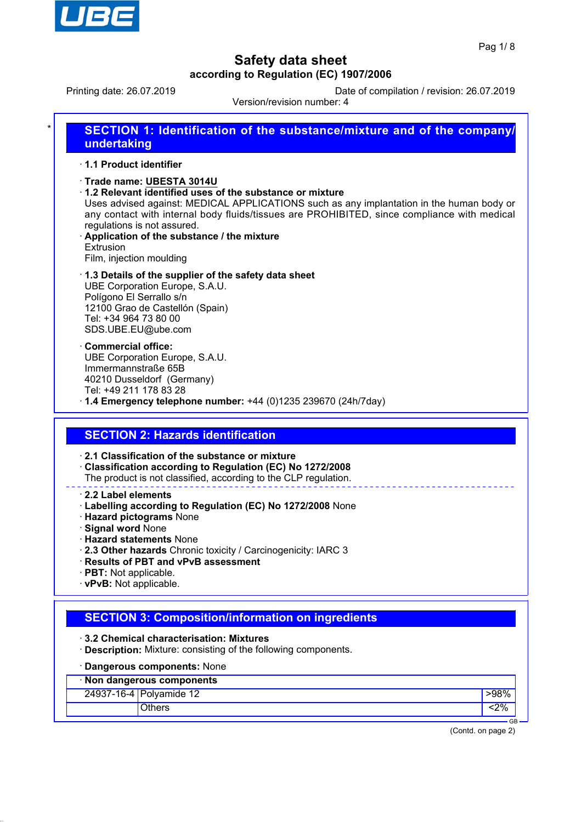

Printing date: 26.07.2019 Date of compilation / revision: 26.07.2019

Version/revision number: 4

| SECTION 1: Identification of the substance/mixture and of the company/ |
|------------------------------------------------------------------------|
| undertaking                                                            |

### ꞏ **1.1 Product identifier**

- ꞏ **Trade name: UBESTA 3014U**
- ꞏ **1.2 Relevant identified uses of the substance or mixture**

Uses advised against: MEDICAL APPLICATIONS such as any implantation in the human body or any contact with internal body fluids/tissues are PROHIBITED, since compliance with medical regulations is not assured.

- ꞏ **Application of the substance / the mixture Extrusion** Film, injection moulding
- ꞏ **1.3 Details of the supplier of the safety data sheet** UBE Corporation Europe, S.A.U. Polígono El Serrallo s/n 12100 Grao de Castellón (Spain) Tel: +34 964 73 80 00 SDS.UBE.EU@ube.com
- ꞏ **Commercial office:** UBE Corporation Europe, S.A.U. Immermannstraße 65B 40210 Dusseldorf (Germany) Tel: +49 211 178 83 28
- ꞏ **1.4 Emergency telephone number:** +44 (0)1235 239670 (24h/7day)

### **SECTION 2: Hazards identification**

#### ꞏ **2.1 Classification of the substance or mixture**

- ꞏ **Classification according to Regulation (EC) No 1272/2008**
- The product is not classified, according to the CLP regulation.

ꞏ **2.2 Label elements**

- ꞏ **Labelling according to Regulation (EC) No 1272/2008** None
- ꞏ **Hazard pictograms** None
- ꞏ **Signal word** None
- ꞏ **Hazard statements** None
- ꞏ **2.3 Other hazards** Chronic toxicity / Carcinogenicity: IARC 3
- ꞏ **Results of PBT and vPvB assessment**
- ꞏ **PBT:** Not applicable.
- ꞏ **vPvB:** Not applicable.

### **SECTION 3: Composition/information on ingredients**

- ꞏ **3.2 Chemical characterisation: Mixtures**
- ꞏ **Description:** Mixture: consisting of the following components.

## ꞏ **Dangerous components:** None

| · Non dangerous components |                         |      |  |  |
|----------------------------|-------------------------|------|--|--|
|                            | 24937-16-4 Polyamide 12 | ·98% |  |  |
|                            | Others                  | 2%   |  |  |

(Contd. on page 2)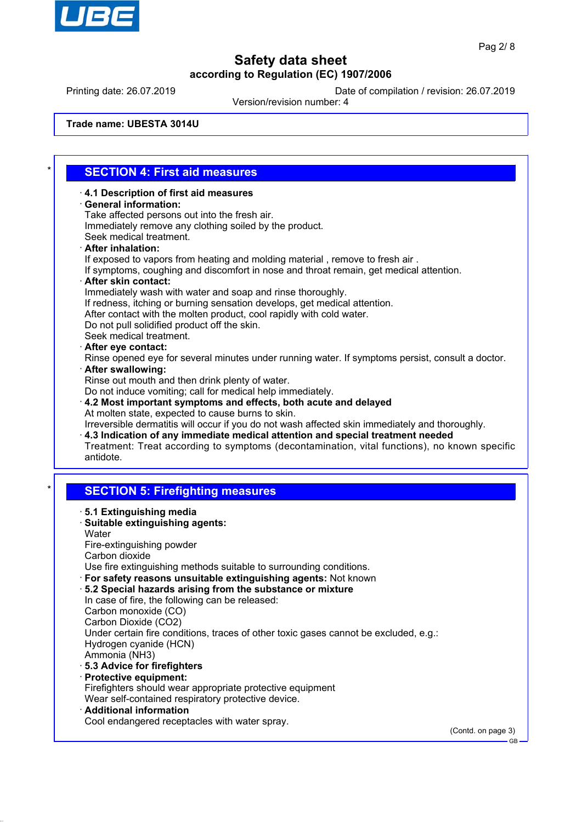

GB

# **Safety data sheet according to Regulation (EC) 1907/2006**

Printing date: 26.07.2019 Date of compilation / revision: 26.07.2019

Version/revision number: 4

**Trade name: UBESTA 3014U**

## \* **SECTION 4: First aid measures**

ꞏ **4.1 Description of first aid measures** ꞏ **General information:** Take affected persons out into the fresh air. Immediately remove any clothing soiled by the product. Seek medical treatment. ꞏ **After inhalation:** If exposed to vapors from heating and molding material , remove to fresh air . If symptoms, coughing and discomfort in nose and throat remain, get medical attention. ꞏ **After skin contact:** Immediately wash with water and soap and rinse thoroughly. If redness, itching or burning sensation develops, get medical attention. After contact with the molten product, cool rapidly with cold water. Do not pull solidified product off the skin. Seek medical treatment. ꞏ **After eye contact:** Rinse opened eye for several minutes under running water. If symptoms persist, consult a doctor. ꞏ **After swallowing:** Rinse out mouth and then drink plenty of water. Do not induce vomiting; call for medical help immediately. ꞏ **4.2 Most important symptoms and effects, both acute and delayed** At molten state, expected to cause burns to skin. Irreversible dermatitis will occur if you do not wash affected skin immediately and thoroughly. ꞏ **4.3 Indication of any immediate medical attention and special treatment needed** Treatment: Treat according to symptoms (decontamination, vital functions), no known specific antidote. **SECTION 5: Firefighting measures** ꞏ **5.1 Extinguishing media** ꞏ **Suitable extinguishing agents: Water** Fire-extinguishing powder Carbon dioxide Use fire extinguishing methods suitable to surrounding conditions. ꞏ **For safety reasons unsuitable extinguishing agents:** Not known ꞏ **5.2 Special hazards arising from the substance or mixture** In case of fire, the following can be released: Carbon monoxide (CO) Carbon Dioxide (CO2) Under certain fire conditions, traces of other toxic gases cannot be excluded, e.g.: Hydrogen cyanide (HCN) Ammonia (NH3) ꞏ **5.3 Advice for firefighters** ꞏ **Protective equipment:** Firefighters should wear appropriate protective equipment Wear self-contained respiratory protective device. ꞏ **Additional information** Cool endangered receptacles with water spray. (Contd. on page 3)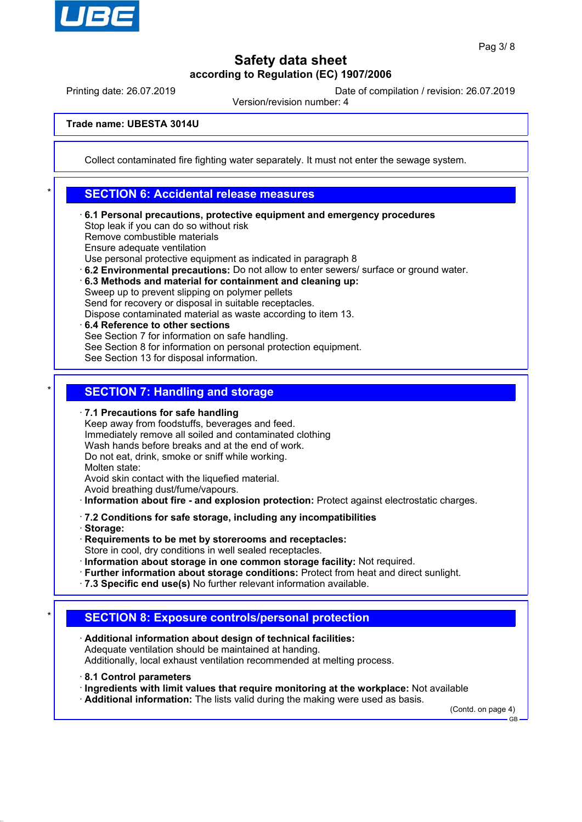

Printing date: 26.07.2019 Date of compilation / revision: 26.07.2019

Version/revision number: 4

**Trade name: UBESTA 3014U**

Collect contaminated fire fighting water separately. It must not enter the sewage system.

### **SECTION 6: Accidental release measures**

ꞏ **6.1 Personal precautions, protective equipment and emergency procedures** Stop leak if you can do so without risk Remove combustible materials Ensure adequate ventilation Use personal protective equipment as indicated in paragraph 8

ꞏ **6.2 Environmental precautions:** Do not allow to enter sewers/ surface or ground water.

ꞏ **6.3 Methods and material for containment and cleaning up:**

Sweep up to prevent slipping on polymer pellets

Send for recovery or disposal in suitable receptacles.

- Dispose contaminated material as waste according to item 13.
- ꞏ **6.4 Reference to other sections** See Section 7 for information on safe handling. See Section 8 for information on personal protection equipment. See Section 13 for disposal information.

## **SECTION 7: Handling and storage**

ꞏ **7.1 Precautions for safe handling**

Keep away from foodstuffs, beverages and feed. Immediately remove all soiled and contaminated clothing Wash hands before breaks and at the end of work. Do not eat, drink, smoke or sniff while working. Molten state: Avoid skin contact with the liquefied material.

Avoid breathing dust/fume/vapours.

ꞏ **Information about fire - and explosion protection:** Protect against electrostatic charges.

ꞏ **7.2 Conditions for safe storage, including any incompatibilities**

- ꞏ **Storage:**
- ꞏ **Requirements to be met by storerooms and receptacles:**
- Store in cool, dry conditions in well sealed receptacles.
- ꞏ **Information about storage in one common storage facility:** Not required.
- ꞏ **Further information about storage conditions:** Protect from heat and direct sunlight.
- ꞏ **7.3 Specific end use(s)** No further relevant information available.

### **SECTION 8: Exposure controls/personal protection**

- ꞏ **Additional information about design of technical facilities:** Adequate ventilation should be maintained at handing. Additionally, local exhaust ventilation recommended at melting process.
- ꞏ **8.1 Control parameters**
- ꞏ **Ingredients with limit values that require monitoring at the workplace:** Not available

ꞏ **Additional information:** The lists valid during the making were used as basis.

(Contd. on page 4)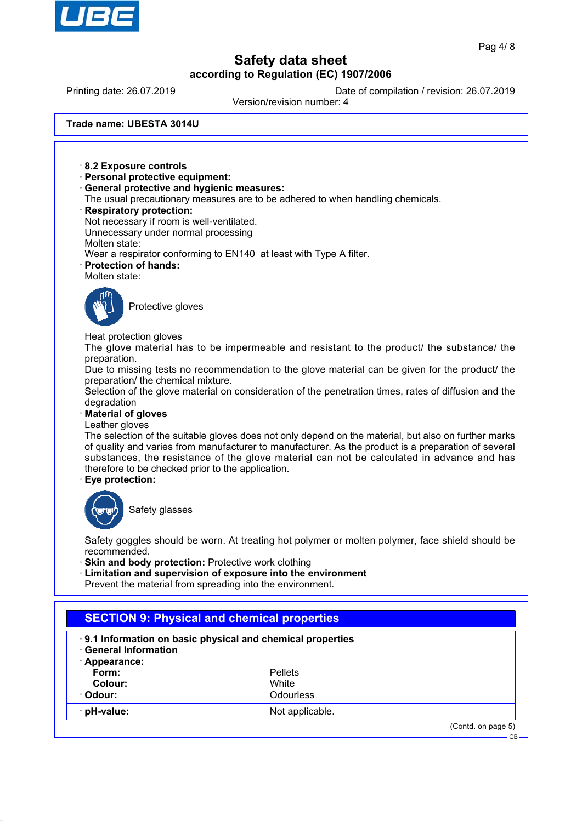

Printing date: 26.07.2019 Date of compilation / revision: 26.07.2019

Version/revision number: 4

**Trade name: UBESTA 3014U**

ꞏ **8.2 Exposure controls** ꞏ **Personal protective equipment:** ꞏ **General protective and hygienic measures:** The usual precautionary measures are to be adhered to when handling chemicals. ꞏ **Respiratory protection:** Not necessary if room is well-ventilated. Unnecessary under normal processing Molten state: Wear a respirator conforming to EN140 at least with Type A filter. ꞏ **Protection of hands:** Molten state: Protective gloves Heat protection gloves The glove material has to be impermeable and resistant to the product/ the substance/ the preparation. Due to missing tests no recommendation to the glove material can be given for the product/ the preparation/ the chemical mixture. Selection of the glove material on consideration of the penetration times, rates of diffusion and the degradation ꞏ **Material of gloves** Leather gloves The selection of the suitable gloves does not only depend on the material, but also on further marks of quality and varies from manufacturer to manufacturer. As the product is a preparation of several substances, the resistance of the glove material can not be calculated in advance and has therefore to be checked prior to the application. ꞏ **Eye protection:** Safety glasses Safety goggles should be worn. At treating hot polymer or molten polymer, face shield should be recommended. **Skin and body protection: Protective work clothing** ꞏ **Limitation and supervision of exposure into the environment** Prevent the material from spreading into the environment. **SECTION 9: Physical and chemical properties** ꞏ **9.1 Information on basic physical and chemical properties** ꞏ **General Information** ꞏ **Appearance: Form:** Pellets **Colour:** White Odour: Odourless **pH-value:** Not applicable.

(Contd. on page 5)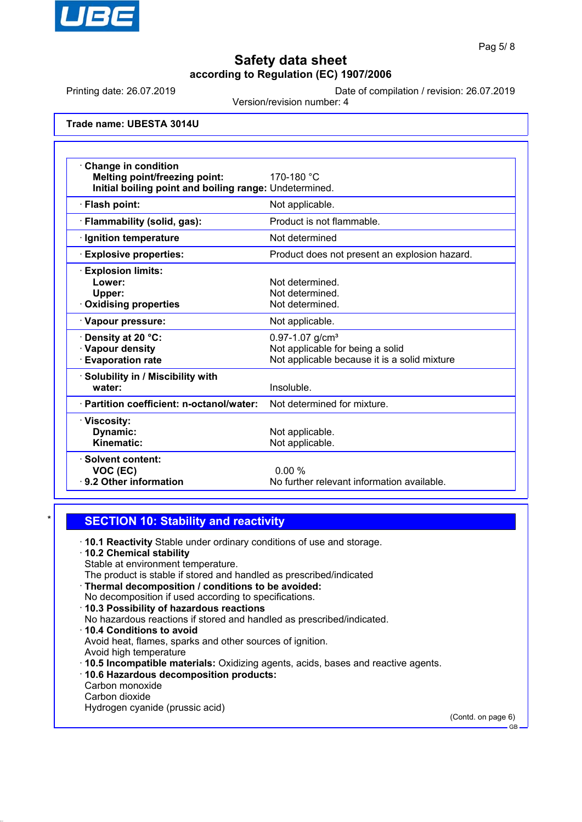

Printing date: 26.07.2019 Date of compilation / revision: 26.07.2019

Version/revision number: 4

**Trade name: UBESTA 3014U**

| <b>Change in condition</b><br>Melting point/freezing point:<br>Initial boiling point and boiling range: Undetermined. | 170-180 °C                                                                                                          |
|-----------------------------------------------------------------------------------------------------------------------|---------------------------------------------------------------------------------------------------------------------|
| · Flash point:                                                                                                        | Not applicable.                                                                                                     |
| · Flammability (solid, gas):                                                                                          | Product is not flammable.                                                                                           |
| · Ignition temperature                                                                                                | Not determined                                                                                                      |
| <b>Explosive properties:</b>                                                                                          | Product does not present an explosion hazard.                                                                       |
| <b>Explosion limits:</b><br>Lower:<br>Upper:<br><b>Oxidising properties</b>                                           | Not determined.<br>Not determined.<br>Not determined.                                                               |
| · Vapour pressure:                                                                                                    | Not applicable.                                                                                                     |
| · Density at 20 °C:<br>· Vapour density<br><b>Evaporation rate</b>                                                    | $0.97 - 1.07$ g/cm <sup>3</sup><br>Not applicable for being a solid<br>Not applicable because it is a solid mixture |
| Solubility in / Miscibility with<br>water:                                                                            | Insoluble.                                                                                                          |
| · Partition coefficient: n-octanol/water:                                                                             | Not determined for mixture.                                                                                         |
| · Viscosity:<br>Dynamic:<br>Kinematic:                                                                                | Not applicable.<br>Not applicable.                                                                                  |
| · Solvent content:<br>VOC (EC)<br>⋅ 9.2 Other information                                                             | 0.00%<br>No further relevant information available.                                                                 |

### **SECTION 10: Stability and reactivity**

ꞏ **10.1 Reactivity** Stable under ordinary conditions of use and storage.

### ꞏ **10.2 Chemical stability**

- Stable at environment temperature.
- The product is stable if stored and handled as prescribed/indicated
- ꞏ **Thermal decomposition / conditions to be avoided:** No decomposition if used according to specifications.
- ꞏ **10.3 Possibility of hazardous reactions**
- No hazardous reactions if stored and handled as prescribed/indicated.
- ꞏ **10.4 Conditions to avoid** Avoid heat, flames, sparks and other sources of ignition.
- Avoid high temperature
- ꞏ **10.5 Incompatible materials:** Oxidizing agents, acids, bases and reactive agents.
- ꞏ **10.6 Hazardous decomposition products:**
- Carbon monoxide
- Carbon dioxide
- Hydrogen cyanide (prussic acid)

(Contd. on page 6)

GB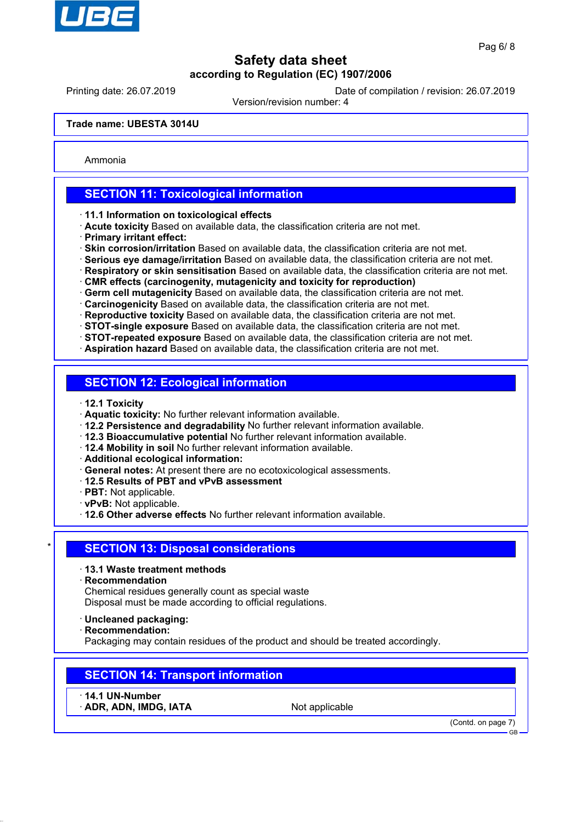

Printing date: 26.07.2019 Date of compilation / revision: 26.07.2019

Version/revision number: 4

**Trade name: UBESTA 3014U**

Ammonia

## **SECTION 11: Toxicological information**

- ꞏ **11.1 Information on toxicological effects**
- ꞏ **Acute toxicity** Based on available data, the classification criteria are not met.
- ꞏ **Primary irritant effect:**
- ꞏ **Skin corrosion/irritation** Based on available data, the classification criteria are not met.
- ꞏ **Serious eye damage/irritation** Based on available data, the classification criteria are not met.
- ꞏ **Respiratory or skin sensitisation** Based on available data, the classification criteria are not met.
- ꞏ **CMR effects (carcinogenity, mutagenicity and toxicity for reproduction)**
- ꞏ **Germ cell mutagenicity** Based on available data, the classification criteria are not met.
- ꞏ **Carcinogenicity** Based on available data, the classification criteria are not met.
- ꞏ **Reproductive toxicity** Based on available data, the classification criteria are not met.
- ꞏ **STOT-single exposure** Based on available data, the classification criteria are not met. ꞏ **STOT-repeated exposure** Based on available data, the classification criteria are not met.
- ꞏ **Aspiration hazard** Based on available data, the classification criteria are not met.

## **SECTION 12: Ecological information**

- ꞏ **12.1 Toxicity**
- ꞏ **Aquatic toxicity:** No further relevant information available.
- ꞏ **12.2 Persistence and degradability** No further relevant information available.
- ꞏ **12.3 Bioaccumulative potential** No further relevant information available.
- ꞏ **12.4 Mobility in soil** No further relevant information available.
- ꞏ **Additional ecological information:**
- ꞏ **General notes:** At present there are no ecotoxicological assessments.
- ꞏ **12.5 Results of PBT and vPvB assessment**
- ꞏ **PBT:** Not applicable.
- ꞏ **vPvB:** Not applicable.
- ꞏ **12.6 Other adverse effects** No further relevant information available.

### **SECTION 13: Disposal considerations**

- ꞏ **13.1 Waste treatment methods**
- ꞏ **Recommendation**

Chemical residues generally count as special waste Disposal must be made according to official regulations.

- ꞏ **Uncleaned packaging:**
- ꞏ **Recommendation:**

Packaging may contain residues of the product and should be treated accordingly.

### **SECTION 14: Transport information**

- ꞏ **14.1 UN-Number**
- ADR, ADN, IMDG, IATA Not applicable

(Contd. on page 7)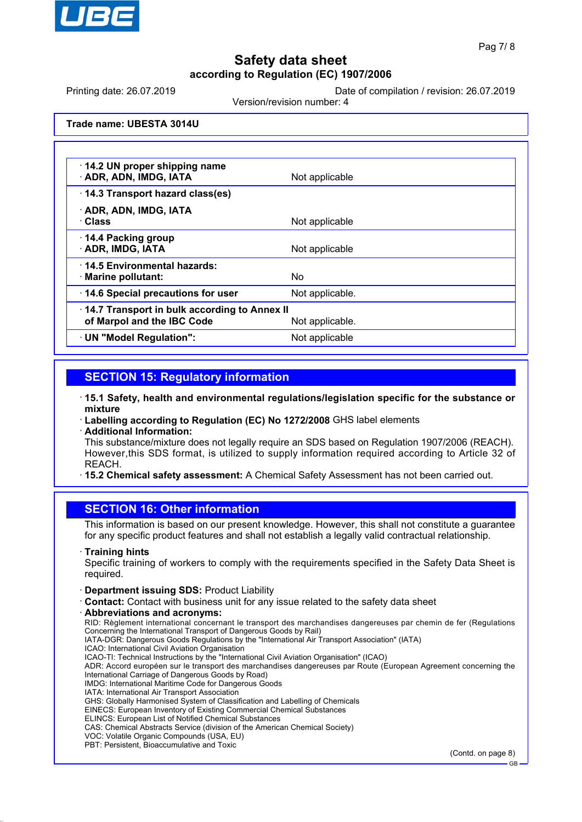

Printing date: 26.07.2019 Date of compilation / revision: 26.07.2019

Version/revision number: 4

**Trade name: UBESTA 3014U**

| 14.2 UN proper shipping name<br>· ADR, ADN, IMDG, IATA                     | Not applicable  |
|----------------------------------------------------------------------------|-----------------|
| 14.3 Transport hazard class(es)                                            |                 |
| · ADR, ADN, IMDG, IATA<br>· Class                                          | Not applicable  |
| 14.4 Packing group<br><b>ADR, IMDG, IATA</b>                               | Not applicable  |
| ⋅14.5 Environmental hazards:<br>· Marine pollutant:                        | No.             |
| 14.6 Special precautions for user                                          | Not applicable. |
| 14.7 Transport in bulk according to Annex II<br>of Marpol and the IBC Code | Not applicable. |
| · UN "Model Regulation":                                                   | Not applicable  |

## **SECTION 15: Regulatory information**

- ꞏ **15.1 Safety, health and environmental regulations/legislation specific for the substance or mixture**
- ꞏ **Labelling according to Regulation (EC) No 1272/2008** GHS label elements ꞏ **Additional Information:**
- This substance/mixture does not legally require an SDS based on Regulation 1907/2006 (REACH). However,this SDS format, is utilized to supply information required according to Article 32 of REACH.
- ꞏ **15.2 Chemical safety assessment:** A Chemical Safety Assessment has not been carried out.

### **SECTION 16: Other information**

This information is based on our present knowledge. However, this shall not constitute a guarantee for any specific product features and shall not establish a legally valid contractual relationship.

#### ꞏ **Training hints**

Specific training of workers to comply with the requirements specified in the Safety Data Sheet is required.

- ꞏ **Department issuing SDS:** Product Liability
- ꞏ **Contact:** Contact with business unit for any issue related to the safety data sheet
- ꞏ **Abbreviations and acronyms:**

RID: Règlement international concernant le transport des marchandises dangereuses par chemin de fer (Regulations Concerning the International Transport of Dangerous Goods by Rail)

IATA-DGR: Dangerous Goods Regulations by the "International Air Transport Association" (IATA) ICAO: International Civil Aviation Organisation

ICAO-TI: Technical Instructions by the "International Civil Aviation Organisation" (ICAO)

ADR: Accord européen sur le transport des marchandises dangereuses par Route (European Agreement concerning the International Carriage of Dangerous Goods by Road)

IMDG: International Maritime Code for Dangerous Goods

- IATA: International Air Transport Association
- GHS: Globally Harmonised System of Classification and Labelling of Chemicals
- EINECS: European Inventory of Existing Commercial Chemical Substances
- ELINCS: European List of Notified Chemical Substances
- CAS: Chemical Abstracts Service (division of the American Chemical Society)
- VOC: Volatile Organic Compounds (USA, EU) PBT: Persistent, Bioaccumulative and Toxic

(Contd. on page 8)

GB